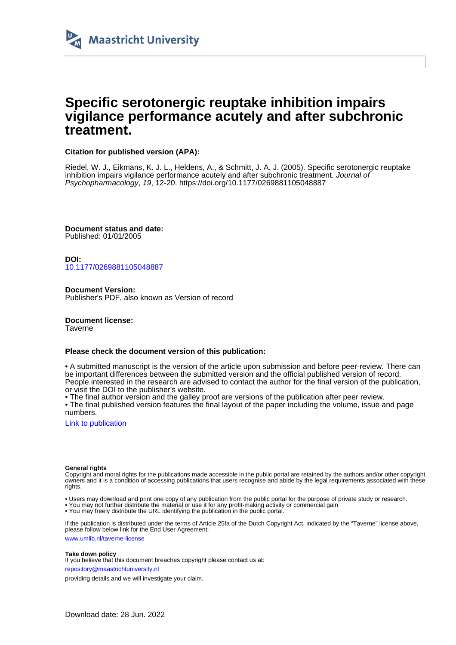

## **Specific serotonergic reuptake inhibition impairs vigilance performance acutely and after subchronic treatment.**

## **Citation for published version (APA):**

Riedel, W. J., Eikmans, K. J. L., Heldens, A., & Schmitt, J. A. J. (2005). Specific serotonergic reuptake inhibition impairs vigilance performance acutely and after subchronic treatment. Journal of Psychopharmacology, 19, 12-20. <https://doi.org/10.1177/0269881105048887>

**Document status and date:** Published: 01/01/2005

**DOI:** [10.1177/0269881105048887](https://doi.org/10.1177/0269881105048887)

**Document Version:** Publisher's PDF, also known as Version of record

**Document license:** Taverne

#### **Please check the document version of this publication:**

• A submitted manuscript is the version of the article upon submission and before peer-review. There can be important differences between the submitted version and the official published version of record. People interested in the research are advised to contact the author for the final version of the publication, or visit the DOI to the publisher's website.

• The final author version and the galley proof are versions of the publication after peer review.

• The final published version features the final layout of the paper including the volume, issue and page numbers.

[Link to publication](https://cris.maastrichtuniversity.nl/en/publications/a6adb7e6-a56b-42a8-adcb-e5a71d677ef0)

#### **General rights**

Copyright and moral rights for the publications made accessible in the public portal are retained by the authors and/or other copyright owners and it is a condition of accessing publications that users recognise and abide by the legal requirements associated with these rights.

• Users may download and print one copy of any publication from the public portal for the purpose of private study or research.

• You may not further distribute the material or use it for any profit-making activity or commercial gain

• You may freely distribute the URL identifying the publication in the public portal.

If the publication is distributed under the terms of Article 25fa of the Dutch Copyright Act, indicated by the "Taverne" license above, please follow below link for the End User Agreement:

www.umlib.nl/taverne-license

#### **Take down policy**

If you believe that this document breaches copyright please contact us at:

repository@maastrichtuniversity.nl

providing details and we will investigate your claim.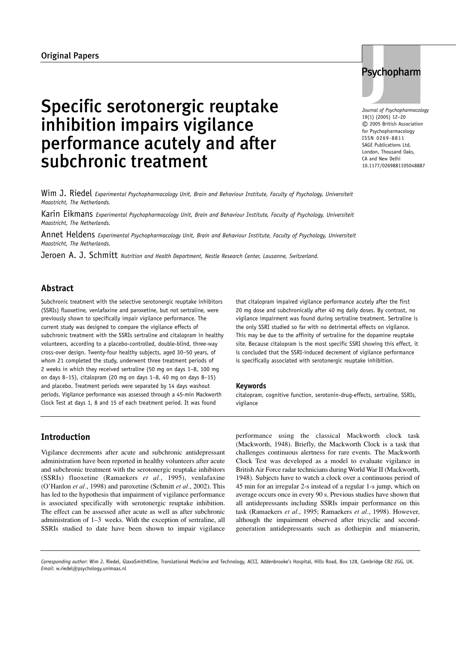# Specific serotonergic reuptake inhibition impairs vigilance performance acutely and after subchronic treatment

Wim J. Riedel *Experimental Psychopharmacology Unit, Brain and Behaviour Institute, Faculty of Psychology, Universiteit Maastricht, The Netherlands.*

Karin Eikmans *Experimental Psychopharmacology Unit, Brain and Behaviour Institute, Faculty of Psychology, Universiteit Maastricht, The Netherlands.*

Annet Heldens *Experimental Psychopharmacology Unit, Brain and Behaviour Institute, Faculty of Psychology, Universiteit Maastricht, The Netherlands.*

Jeroen A. J. Schmitt *Nutrition and Health Department, Nestle Research Center, Lausanne, Switzerland.*

## **Abstract**

Subchronic treatment with the selective serotonergic reuptake inhibitors (SSRIs) fluoxetine, venlafaxine and paroxetine, but not sertraline, were previously shown to specifically impair vigilance performance. The current study was designed to compare the vigilance effects of subchronic treatment with the SSRIs sertraline and citalopram in healthy volunteers, according to a placebo-controlled, double-blind, three-way cross-over design. Twenty-four healthy subjects, aged 30–50 years, of whom 21 completed the study, underwent three treatment periods of 2 weeks in which they received sertraline (50 mg on days 1–8, 100 mg on days 8–15), citalopram (20 mg on days 1–8, 40 mg on days 8–15) and placebo. Treatment periods were separated by 14 days washout periods. Vigilance performance was assessed through a 45-min Mackworth Clock Test at days 1, 8 and 15 of each treatment period. It was found

that citalopram impaired vigilance performance acutely after the first 20 mg dose and subchronically after 40 mg daily doses. By contrast, no vigilance impairment was found during sertraline treatment. Sertraline is the only SSRI studied so far with no detrimental effects on vigilance. This may be due to the affinity of sertraline for the dopamine reuptake site. Because citalopram is the most specific SSRI showing this effect, it is concluded that the SSRI-induced decrement of vigilance performance is specifically associated with serotonergic reuptake inhibition.

#### **Keywords**

citalopram, cognitive function, serotonin-drug-effects, sertraline, SSRIs, vigilance

## **Introduction**

Vigilance decrements after acute and subchronic antidepressant administration have been reported in healthy volunteers after acute and subchronic treatment with the serotonergic reuptake inhibitors (SSRIs) fluoxetine (Ramaekers *et al.*, 1995), venlafaxine (O'Hanlon *et al.*, 1998) and paroxetine (Schmitt *et al.*, 2002). This has led to the hypothesis that impairment of vigilance performance is associated specifically with serotonergic reuptake inhibition. The effect can be assessed after acute as well as after subchronic administration of 1–3 weeks. With the exception of sertraline, all SSRIs studied to date have been shown to impair vigilance performance using the classical Mackworth clock task (Mackworth, 1948). Briefly, the Mackworth Clock is a task that challenges continuous alertness for rare events. The Mackworth Clock Test was developed as a model to evaluate vigilance in British Air Force radar technicians during World War II (Mackworth, 1948). Subjects have to watch a clock over a continuous period of 45 min for an irregular 2-s instead of a regular 1-s jump, which on average occurs once in every 90 s. Previous studies have shown that all antidepressants including SSRIs impair performance on this task (Ramaekers *et al.*, 1995; Ramaekers *et al.*, 1998). However, although the impairment observed after tricyclic and secondgeneration antidepressants such as dothiepin and mianserin,

*Corresponding author*: Wim J. Riedel, GlaxoSmithKline, Translational Medicine and Technology, ACCI, Addenbrooke's Hospital, Hills Road, Box 128, Cambridge CB2 2GG, UK. *Email*: w.riedel@psychology.unimaas.nl

## *Journal of Psychopharmacology* 19(1) (2005) 12–20 © 2005 British Association for Psychopharmacology ISSN 0269-8811

SAGE Publications Ltd, London, Thousand Oaks, CA and New Delhi 10.1177/0269881105048887

Psychopharm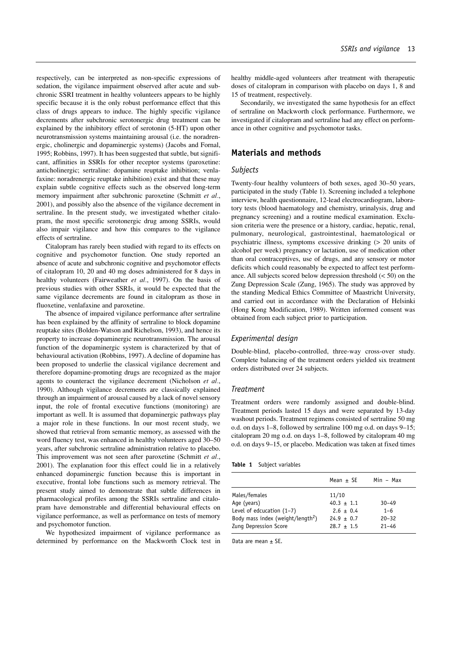respectively, can be interpreted as non-specific expressions of sedation, the vigilance impairment observed after acute and subchronic SSRI treatment in healthy volunteers appears to be highly specific because it is the only robust performance effect that this class of drugs appears to induce. The highly specific vigilance decrements after subchronic serotonergic drug treatment can be explained by the inhibitory effect of serotonin (5-HT) upon other neurotransmission systems maintaining arousal (i.e. the noradrenergic, cholinergic and dopaminergic systems) (Jacobs and Fornal, 1995; Robbins, 1997). It has been suggested that subtle, but significant, affinities in SSRIs for other receptor systems (paroxetine: anticholinergic; sertraline: dopamine reuptake inhibition; venlafaxine: noradrenergic reuptake inhibition) exist and that these may explain subtle cognitive effects such as the observed long-term memory impairment after subchronic paroxetine (Schmitt *et al.*, 2001), and possibly also the absence of the vigilance decrement in sertraline. In the present study, we investigated whether citalopram, the most specific serotonergic drug among SSRIs, would also impair vigilance and how this compares to the vigilance effects of sertraline.

Citalopram has rarely been studied with regard to its effects on cognitive and psychomotor function. One study reported an absence of acute and subchronic cognitive and psychomotor effects of citalopram 10, 20 and 40 mg doses administered for 8 days in healthy volunteers (Fairweather *et al.*, 1997). On the basis of previous studies with other SSRIs, it would be expected that the same vigilance decrements are found in citalopram as those in fluoxetine, venlafaxine and paroxetine.

The absence of impaired vigilance performance after sertraline has been explained by the affinity of sertraline to block dopamine reuptake sites (Bolden-Watson and Richelson, 1993), and hence its property to increase dopaminergic neurotransmission. The arousal function of the dopaminergic system is characterized by that of behavioural activation (Robbins, 1997). A decline of dopamine has been proposed to underlie the classical vigilance decrement and therefore dopamine-promoting drugs are recognized as the major agents to counteract the vigilance decrement (Nicholson *et al.*, 1990). Although vigilance decrements are classically explained through an impairment of arousal caused by a lack of novel sensory input, the role of frontal executive functions (monitoring) are important as well. It is assumed that dopaminergic pathways play a major role in these functions. In our most recent study, we showed that retrieval from semantic memory, as assessed with the word fluency test, was enhanced in healthy volunteers aged 30–50 years, after subchronic sertraline administration relative to placebo. This improvement was not seen after paroxetine (Schmitt *et al.*, 2001). The explanation foor this effect could lie in a relatively enhanced dopaminergic function because this is important in executive, frontal lobe functions such as memory retrieval. The present study aimed to demonstrate that subtle differences in pharmacological profiles among the SSRIs sertraline and citalopram have demonstrable and differential behavioural effects on vigilance performance, as well as performance on tests of memory and psychomotor function.

We hypothesized impairment of vigilance performance as determined by performance on the Mackworth Clock test in healthy middle-aged volunteers after treatment with therapeutic doses of citalopram in comparison with placebo on days 1, 8 and 15 of treatment, respectively.

Secondarily, we investigated the same hypothesis for an effect of sertraline on Mackworth clock performance. Furthermore, we investigated if citalopram and sertraline had any effect on performance in other cognitive and psychomotor tasks.

## **Materials and methods**

### *Subjects*

Twenty-four healthy volunteers of both sexes, aged 30–50 years, participated in the study (Table 1). Screening included a telephone interview, health questionnaire, 12-lead electrocardiogram, laboratory tests (blood haematology and chemistry, urinalysis, drug and pregnancy screening) and a routine medical examination. Exclusion criteria were the presence or a history, cardiac, hepatic, renal, pulmonary, neurological, gastrointestinal, haematological or psychiatric illness, symptoms excessive drinking (> 20 units of alcohol per week) pregnancy or lactation, use of medication other than oral contraceptives, use of drugs, and any sensory or motor deficits which could reasonably be expected to affect test performance. All subjects scored below depression threshold (< 50) on the Zung Depression Scale (Zung, 1965). The study was approved by the standing Medical Ethics Committee of Maastricht University, and carried out in accordance with the Declaration of Helsinki (Hong Kong Modification, 1989). Written informed consent was obtained from each subject prior to participation.

#### *Experimental design*

Double-blind, placebo-controlled, three-way cross-over study. Complete balancing of the treatment orders yielded six treatment orders distributed over 24 subjects.

#### *Treatment*

Treatment orders were randomly assigned and double-blind. Treatment periods lasted 15 days and were separated by 13-day washout periods. Treatment regimens consisted of sertraline 50 mg o.d. on days 1–8, followed by sertraline 100 mg o.d. on days 9–15; citalopram 20 mg o.d. on days 1–8, followed by citalopram 40 mg o.d. on days 9–15, or placebo. Medication was taken at fixed times

**Table 1** Subject variables

|                                                                                                                                       | Mean $\pm$ SE                                                            | Min – Max                                      |
|---------------------------------------------------------------------------------------------------------------------------------------|--------------------------------------------------------------------------|------------------------------------------------|
| Males/females<br>Age (years)<br>Level of edcucation $(1-7)$<br>Body mass index (weight/length <sup>2</sup> )<br>Zung Depression Score | 11/10<br>$40.3 \pm 1.1$<br>$2.6 + 0.4$<br>$24.9 + 0.7$<br>$28.7 \pm 1.5$ | $30 - 49$<br>$1 - 6$<br>$20 - 32$<br>$21 - 46$ |

Data are mean  $\pm$  SE.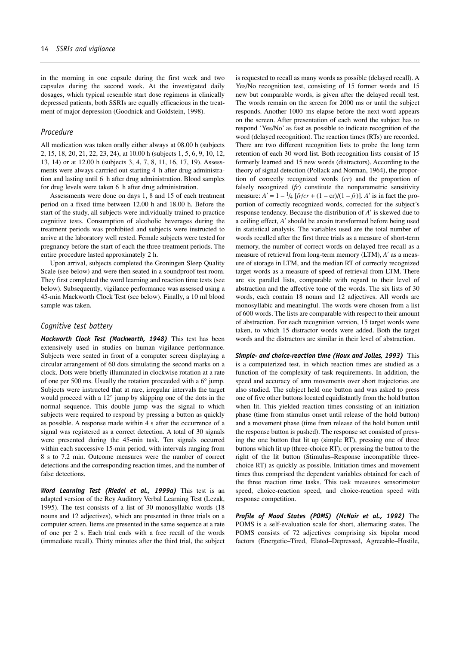in the morning in one capsule during the first week and two capsules during the second week. At the investigated daily dosages, which typical resemble start dose regimens in clinically depressed patients, both SSRIs are equally efficacious in the treatment of major depression (Goodnick and Goldstein, 1998).

#### *Procedure*

All medication was taken orally either always at 08.00 h (subjects 2, 15, 18, 20, 21, 22, 23, 24), at 10.00 h (subjects 1, 5, 6, 9, 10, 12, 13, 14) or at 12.00 h (subjects 3, 4, 7, 8, 11, 16, 17, 19). Assessments were always carrried out starting 4 h after drug administration and lasting until 6 h after drug administration. Blood samples for drug levels were taken 6 h after drug administration.

Assessments were done on days 1, 8 and 15 of each treatment period on a fixed time between 12.00 h and 18.00 h. Before the start of the study, all subjects were individually trained to practice cognitive tests. Consumption of alcoholic beverages during the treatment periods was prohibited and subjects were instructed to arrive at the laboratory well rested. Female subjects were tested for pregnancy before the start of each the three treatment periods. The entire procedure lasted approximately 2 h.

Upon arrival, subjects completed the Groningen Sleep Quality Scale (see below) and were then seated in a soundproof test room. They first completed the word learning and reaction time tests (see below). Subsequently, vigilance performance was assessed using a 45-min Mackworth Clock Test (see below). Finally, a 10 ml blood sample was taken.

#### *Cognitive test battery*

*Mackworth Clock Test (Mackworth, 1948)* This test has been extensively used in studies on human vigilance performance. Subjects were seated in front of a computer screen displaying a circular arrangement of 60 dots simulating the second marks on a clock. Dots were briefly illuminated in clockwise rotation at a rate of one per 500 ms. Usually the rotation proceeded with a 6° jump. Subjects were instructed that at rare, irregular intervals the target would proceed with a 12° jump by skipping one of the dots in the normal sequence. This double jump was the signal to which subjects were required to respond by pressing a button as quickly as possible. A response made within 4 s after the occurrence of a signal was registered as a correct detection. A total of 30 signals were presented during the 45-min task. Ten signals occurred within each successive 15-min period, with intervals ranging from 8 s to 7.2 min. Outcome measures were the number of correct detections and the corresponding reaction times, and the number of false detections.

*Word Learning Test (Riedel et al., 1999a)* This test is an adapted version of the Rey Auditory Verbal Learning Test (Lezak, 1995). The test consists of a list of 30 monosyllabic words (18 nouns and 12 adjectives), which are presented in three trials on a computer screen. Items are presented in the same sequence at a rate of one per 2 s. Each trial ends with a free recall of the words (immediate recall). Thirty minutes after the third trial, the subject

is requested to recall as many words as possible (delayed recall). A Yes/No recognition test, consisting of 15 former words and 15 new but comparable words, is given after the delayed recall test. The words remain on the screen for 2000 ms or until the subject responds. Another 1000 ms elapse before the next word appears on the screen. After presentation of each word the subject has to respond 'Yes/No' as fast as possible to indicate recognition of the word (delayed recognition). The reaction times (RTs) are recorded. There are two different recognition lists to probe the long term retention of each 30 word list. Both recognition lists consist of 15 formerly learned and 15 new words (distractors). According to the theory of signal detection (Pollack and Norman, 1964), the proportion of correctly recognized words (*cr*) and the proportion of falsely recognized (*fr*) constitute the nonparametric sensitivity measure:  $A' = 1 - \frac{1}{4} [fr/cr + (1 - cr)/(1 - fr)]$ . *A'* is in fact the proportion of correctly recognized words, corrected for the subject's response tendency. Because the distribution of *A*′ is skewed due to a ceiling effect, *A*′ should be arcsin transformed before being used in statistical analysis. The variables used are the total number of words recalled after the first three trials as a measure of short-term memory, the number of correct words on delayed free recall as a measure of retrieval from long-term memory (LTM), *A*′ as a measure of storage in LTM, and the median RT of correctly recognized target words as a measure of speed of retrieval from LTM. There are six parallel lists, comparable with regard to their level of abstraction and the affective tone of the words. The six lists of 30 words, each contain 18 nouns and 12 adjectives. All words are monosyllabic and meaningful. The words were chosen from a list of 600 words. The lists are comparable with respect to their amount of abstraction. For each recognition version, 15 target words were taken, to which 15 distractor words were added. Both the target words and the distractors are similar in their level of abstraction.

*Simple- and choice-reaction time (Houx and Jolles, 1993)* This is a computerized test, in which reaction times are studied as a function of the complexity of task requirements. In addition, the speed and accuracy of arm movements over short trajectories are also studied. The subject held one button and was asked to press one of five other buttons located equidistantly from the hold button when lit. This yielded reaction times consisting of an initiation phase (time from stimulus onset until release of the hold button) and a movement phase (time from release of the hold button until the response button is pushed). The response set consisted of pressing the one button that lit up (simple RT), pressing one of three buttons which lit up (three-choice RT), or pressing the button to the right of the lit button (Stimulus–Response incompatible threechoice RT) as quickly as possible. Initiation times and movement times thus comprised the dependent variables obtained for each of the three reaction time tasks. This task measures sensorimotor speed, choice-reaction speed, and choice-reaction speed with response competition.

*Profile of Mood States (POMS) (McNair et al., 1992)* The POMS is a self-evaluation scale for short, alternating states. The POMS consists of 72 adjectives comprising six bipolar mood factors (Energetic–Tired, Elated–Depressed, Agreeable–Hostile,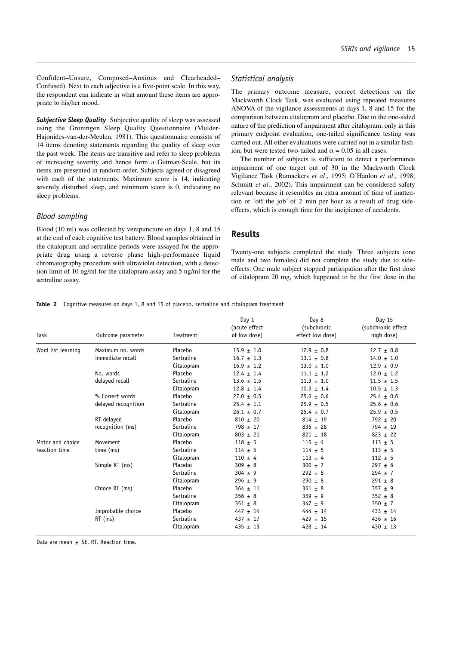Confident–Unsure, Composed–Anxious and Clearheaded– Confused). Next to each adjective is a five-point scale. In this way, the respondent can indicate in what amount these items are appropriate to his/her mood.

**Subjective Sleep Quality** Subjective quality of sleep was assessed using the Groningen Sleep Quality Questionnaire (Mulder-Hajonides-van-der-Meulen, 1981). This questionnaire consists of 14 items denoting statements regarding the quality of sleep over the past week. The items are transitive and refer to sleep problems of increasing severity and hence form a Gutman-Scale, but its items are presented in random order. Subjects agreed or disagreed with each of the statements. Maximum score is 14, indicating severely disturbed sleep, and minimum score is 0, indicating no sleep problems.

## *Blood sampling*

Blood (10 ml) was collected by venipuncture on days 1, 8 and 15 at the end of each cognitive test battery. Blood samples obtained in the citalopram and sertraline periods were assayed for the appropriate drug using a reverse phase high-performance liquid chromatography procedure with ultraviolet detection, with a detection limit of 10 ng/ml for the citalopram assay and 5 ng/ml for the sertraline assay.

#### *Statistical analysis*

The primary outcome measure, correct detections on the Mackworth Clock Task, was evaluated using repeated measures ANOVA of the vigilance assessments at days 1, 8 and 15 for the comparison between citalopram and placebo. Due to the one-sided nature of the prediction of impairment after citalopram, only in this primary endpoint evaluation, one-tailed significance testing was carried out. All other evaluations were carried out in a similar fashion, but were tested two-tailed and  $\alpha = 0.05$  in all cases.

The number of subjects is sufficient to detect a performance impairment of one target out of 30 in the Mackworth Clock Vigilance Task (Ramaekers *et al.*, 1995; O'Hanlon *et al.*, 1998; Schmitt *et al.*, 2002). This impairment can be considered safety relevant because it resembles an extra amount of time of inattention or 'off the job' of 2 min per hour as a result of drug sideeffects, which is enough time for the incipience of accidents.

## **Results**

Twenty-one subjects completed the study. Three subjects (one male and two females) did not complete the study due to sideeffects. One male subject stopped participation after the first dose of citalopram 20 mg, which happened to be the first dose in the

#### **Table 2** Cognitive measures on days 1, 8 and 15 of placebo, sertraline and citalopram treatment

| Task               | Outcome parameter   | Treatment  | Day 1<br>(acute effect<br>of low dose) | Day 8<br>(subchronic<br>effect low dose) | Day 15<br>(subchronic effect<br>high dose) |
|--------------------|---------------------|------------|----------------------------------------|------------------------------------------|--------------------------------------------|
| Word list learning | Maximum no. words   | Placebo    | $15.9 \pm 1.0$                         | $12.9 \pm 0.8$                           | $12.7 \pm 0.8$                             |
|                    | immediate recall    | Sertraline | $16.7 \pm 1.3$                         | $13.1 \pm 0.8$                           | $14.0 + 1.0$                               |
|                    |                     | Citalopram | $16.9 \pm 1.2$                         | $13.0 \pm 1.0$                           | $12.9 \pm 0.9$                             |
|                    | No. words           | Placebo    | $12.4 \pm 1.4$                         | $11.1 \pm 1.2$                           | $12.0 \pm 1.2$                             |
|                    | delayed recall      | Sertraline | $13.6 \pm 1.5$                         | $11.3 + 1.0$                             | $11.5 \pm 1.5$                             |
|                    |                     | Citalopram | $12.8 \pm 1.4$                         | $10.9 \pm 1.4$                           | $10.5 \pm 1.3$                             |
|                    | % Correct words     | Placebo    | $27.0 + 0.5$                           | $25.6 \pm 0.6$                           | $25.4 \pm 0.6$                             |
|                    | delayed recognition | Sertraline | $25.4 \pm 1.1$                         | $25.9 \pm 0.5$                           | $25.6 \pm 0.6$                             |
|                    |                     | Citalopram | $26.1 \pm 0.7$                         | $25.4 \pm 0.7$                           | $25.9 \pm 0.5$                             |
|                    | RT delayed          | Placebo    | $810 \pm 20$                           | $814 \pm 19$                             | $792 \pm 20$                               |
|                    | recognition (ms)    | Sertraline | $798 \pm 17$                           | $836 \pm 28$                             | $794 \pm 19$                               |
|                    |                     | Citalopram | $803 + 21$                             | $821 + 18$                               | $823 + 22$                                 |
| Motor and choice   | Movement            | Placebo    | $118 + 5$                              | $115 \pm 4$                              | $113 + 5$                                  |
| reaction time      | time (ms)           | Sertraline | $114 \pm 5$                            | $114 \pm 5$                              | $113 \pm 5$                                |
|                    |                     | Citalopram | $110 \pm 4$                            | $113 + 4$                                | $112 \pm 5$                                |
|                    | Simple RT (ms)      | Placebo    | $309 \pm 8$                            | $300 \pm 7$                              | $297 \pm 6$                                |
|                    |                     | Sertraline | $304 \pm 9$                            | $292 \pm 8$                              | $294 \pm 7$                                |
|                    |                     | Citalopram | $296 \pm 9$                            | $290 \pm 8$                              | $291 \pm 8$                                |
|                    | Chioce RT (ms)      | Placebo    | $364 \pm 11$                           | $361 \pm 8$                              | $357 \pm 9$                                |
|                    |                     | Sertraline | $356 \pm 8$                            | $359 \pm 9$                              | $352 \pm 8$                                |
|                    |                     | Citalopram | $351 \pm 8$                            | $347 \pm 9$                              | $350 \pm 7$                                |
|                    | Improbable choice   | Placebo    | $447 \pm 14$                           | $444 \pm 14$                             | $433 \pm 14$                               |
|                    | $RT$ (ms)           | Sertraline | $437 \pm 17$                           | $429 \pm 15$                             | $436 \pm 16$                               |
|                    |                     | Citalopram | $435 \pm 13$                           | $428 \pm 14$                             | $430 + 13$                                 |

Data are mean  $\pm$  SE. RT, Reaction time.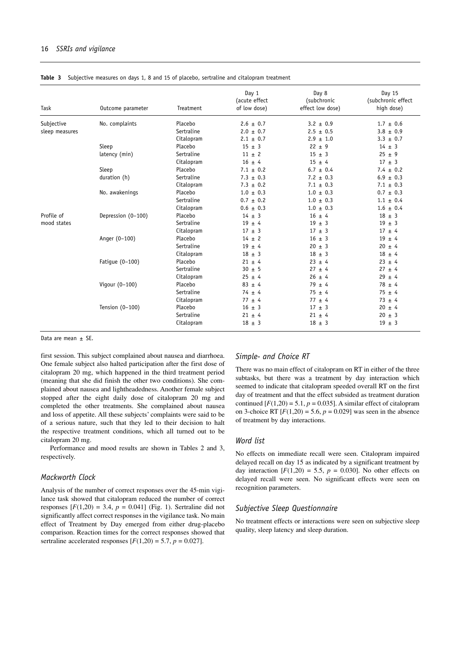| Task           | Outcome parameter  | Treatment  | Day 1<br>(acute effect<br>of low dose) | Day 8<br>(subchronic<br>effect low dose) | Day 15<br>(subchronic effect<br>high dose) |
|----------------|--------------------|------------|----------------------------------------|------------------------------------------|--------------------------------------------|
| Subjective     | No. complaints     | Placebo    | $2.6 \pm 0.7$                          | $3.2 \pm 0.9$                            | $1.7 \pm 0.6$                              |
| sleep measures |                    | Sertraline | $2.0 \pm 0.7$                          | $2.5 \pm 0.5$                            | $3.8 \pm 0.9$                              |
|                |                    | Citalopram | $2.1 \pm 0.7$                          | $2.9 \pm 1.0$                            | $3.3 \pm 0.7$                              |
|                | Sleep              | Placebo    | $15 \pm 3$                             | $22 \pm 9$                               | $14 \pm 3$                                 |
|                | latency (min)      | Sertraline | $11 \pm 2$                             | $15 \pm 3$                               | $25 \pm 9$                                 |
|                |                    | Citalopram | $16 \pm 4$                             | $15 \pm 4$                               | $17 \pm 3$                                 |
|                | Sleep              | Placebo    | $7.1 \pm 0.2$                          | $6.7 \pm 0.4$                            | $7.4 \pm 0.2$                              |
|                | duration (h)       | Sertraline | $7.3 \pm 0.3$                          | $7.2 \pm 0.3$                            | $6.9 \pm 0.3$                              |
|                |                    | Citalopram | $7.3 \pm 0.2$                          | $7.1 \pm 0.3$                            | $7.1 \pm 0.3$                              |
|                | No. awakenings     | Placebo    | $1.0 \pm 0.3$                          | $1.0 \pm 0.3$                            | $0.7 \pm 0.3$                              |
|                |                    | Sertraline | $0.7 \pm 0.2$                          | $1.0 \pm 0.3$                            | $1.1 \pm 0.4$                              |
|                |                    | Citalopram | $0.6 \pm 0.3$                          | $1.0 \pm 0.3$                            | $1.6 \pm 0.4$                              |
| Profile of     | Depression (0-100) | Placebo    | $14 \pm 3$                             | $16 \pm 4$                               | $18 \pm 3$                                 |
| mood states    |                    | Sertraline | $19 \pm 4$                             | $19 \pm 3$                               | $19 \pm 3$                                 |
|                |                    | Citalopram | $17 \pm 3$                             | $17 \pm 3$                               | $17 + 4$                                   |
|                | Anger (0-100)      | Placebo    | $14 \pm 2$                             | $16 \pm 3$                               | $19 \pm 4$                                 |
|                |                    | Sertraline | $19 \pm 4$                             | $20 \pm 3$                               | $20 \pm 4$                                 |
|                |                    | Citalopram | $18 \pm 3$                             | $18 \pm 3$                               | $18 \pm 4$                                 |
|                | Fatique (0-100)    | Placebo    | $21 \pm 4$                             | $23 \pm 4$                               | $23 \pm 4$                                 |
|                |                    | Sertraline | $30 \pm 5$                             | $27 \pm 4$                               | $27 + 4$                                   |
|                |                    | Citalopram | $25 \pm 4$                             | $26 \pm 4$                               | $29 \pm 4$                                 |
|                | Vigour (0-100)     | Placebo    | $83 \pm 4$                             | $79 \pm 4$                               | $78 \pm 4$                                 |
|                |                    | Sertraline | $74 \pm 4$                             | $75 \pm 4$                               | $75 \pm 4$                                 |
|                |                    | Citalopram | $77 \pm 4$                             | $77 \pm 4$                               | $73 \pm 4$                                 |
|                | Tension $(0-100)$  | Placebo    | $16 \pm 3$                             | $17 \pm 3$                               | $20 \pm 4$                                 |
|                |                    | Sertraline | $21 \pm 4$                             | $21 \pm 4$                               | $20 \pm 3$                                 |
|                |                    | Citalopram | $18 \pm 3$                             | $18 \pm 3$                               | $19 \pm 3$                                 |

**Table 3.** Subjective measures on days 1, 8 and 15 of placebo, sertraline and citalopram treatment

Data are mean + SF.

first session. This subject complained about nausea and diarrhoea. One female subject also halted participation after the first dose of citalopram 20 mg, which happened in the third treatment period (meaning that she did finish the other two conditions). She complained about nausea and lightheadedness. Another female subject stopped after the eight daily dose of citalopram 20 mg and completed the other treatments. She complained about nausea and loss of appetite. All these subjects' complaints were said to be of a serious nature, such that they led to their decision to halt the respective treatment conditions, which all turned out to be citalopram 20 mg.

Performance and mood results are shown in Tables 2 and 3, respectively.

#### *Mackworth Clock*

Analysis of the number of correct responses over the 45-min vigilance task showed that citalopram reduced the number of correct responses  $[F(1,20) = 3.4, p = 0.041]$  (Fig. 1). Sertraline did not significantly affect correct responses in the vigilance task. No main effect of Treatment by Day emerged from either drug-placebo comparison. Reaction times for the correct responses showed that sertraline accelerated responses  $[F(1,20) = 5.7, p = 0.027]$ .

#### *Simple- and Choice RT*

There was no main effect of citalopram on RT in either of the three subtasks, but there was a treatment by day interaction which seemed to indicate that citalopram speeded overall RT on the first day of treatment and that the effect subsided as treatment duration continued  $[F(1,20) = 5.1, p = 0.035]$ . A similar effect of citalopram on 3-choice RT  $[F(1,20) = 5.6, p = 0.029]$  was seen in the absence of treatment by day interactions.

#### *Word list*

No effects on immediate recall were seen. Citalopram impaired delayed recall on day 15 as indicated by a significant treatment by day interaction  $[F(1,20) = 5.5, p = 0.030]$ . No other effects on delayed recall were seen. No significant effects were seen on recognition parameters.

## *Subjective Sleep Questionnaire*

No treatment effects or interactions were seen on subjective sleep quality, sleep latency and sleep duration.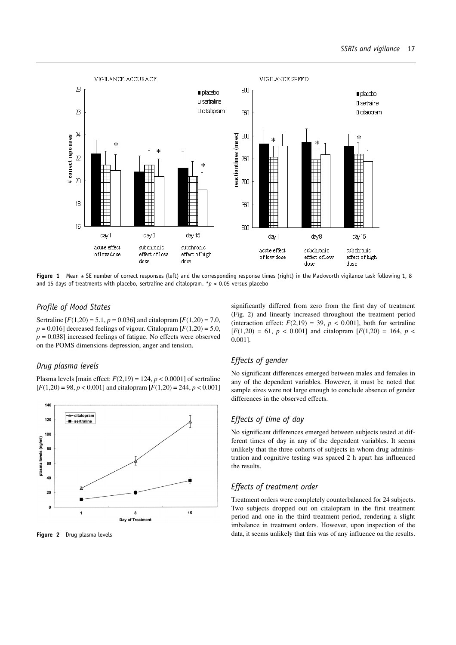

**Figure 1** Mean  $\pm$  SE number of correct responses (left) and the corresponding response times (right) in the Mackworth vigilance task following 1, 8 and 15 days of treatments with placebo, sertraline and citalopram. \**p* < 0.05 versus placebo

## *Profile of Mood States*

Sertraline  $[F(1,20) = 5.1, p = 0.036]$  and citalopram  $[F(1,20) = 7.0,$  $p = 0.016$ ] decreased feelings of vigour. Citalopram  $[F(1,20) = 5.0,$  $p = 0.038$ ] increased feelings of fatigue. No effects were observed on the POMS dimensions depression, anger and tension.

## *Drug plasma levels*

Plasma levels [main effect:  $F(2,19) = 124$ ,  $p < 0.0001$ ] of sertraline  $[F(1,20) = 98, p < 0.001]$  and citalopram  $[F(1,20) = 244, p < 0.001]$ 



**Figure 2** Drug plasma levels

## *Effects of gender*

0.001].

No significant differences emerged between males and females in any of the dependent variables. However, it must be noted that sample sizes were not large enough to conclude absence of gender differences in the observed effects.

significantly differed from zero from the first day of treatment (Fig. 2) and linearly increased throughout the treatment period (interaction effect:  $F(2,19) = 39$ ,  $p < 0.001$ ], both for sertraline  $[F(1,20) = 61, p < 0.001]$  and citalopram  $[F(1,20) = 164, p <$ 

## *Effects of time of day*

No significant differences emerged between subjects tested at different times of day in any of the dependent variables. It seems unlikely that the three cohorts of subjects in whom drug administration and cognitive testing was spaced 2 h apart has influenced the results.

## *Effects of treatment order*

Treatment orders were completely counterbalanced for 24 subjects. Two subjects dropped out on citalopram in the first treatment period and one in the third treatment period, rendering a slight imbalance in treatment orders. However, upon inspection of the data, it seems unlikely that this was of any influence on the results.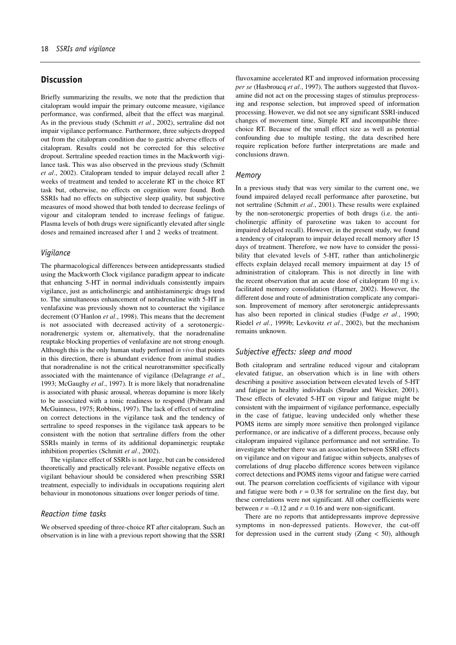## **Discussion**

Briefly summarizing the results, we note that the prediction that citalopram would impair the primary outcome measure, vigilance performance, was confirmed, albeit that the effect was marginal. As in the previous study (Schmitt *et al.*, 2002), sertraline did not impair vigilance performance. Furthermore, three subjects dropped out from the citalopram condition due to gastric adverse effects of citalopram. Results could not be corrected for this selective dropout. Sertraline speeded reaction times in the Mackworth vigilance task. This was also observed in the previous study (Schmitt *et al.*, 2002). Citalopram tended to impair delayed recall after 2 weeks of treatment and tended to accelerate RT in the choice RT task but, otherwise, no effects on cognition were found. Both SSRIs had no effects on subjective sleep quality, but subjective measures of mood showed that both tended to decrease feelings of vigour and citalopram tended to increase feelings of fatigue. Plasma levels of both drugs were significantly elevated after single doses and remained increased after 1 and 2 weeks of treatment.

#### *Vigilance*

The pharmacological differences between antidepressants studied using the Mackworth Clock vigilance paradigm appear to indicate that enhancing 5-HT in normal individuals consistently impairs vigilance, just as anticholinergic and antihistaminergic drugs tend to. The simultaneous enhancement of noradrenaline with 5-HT in venlafaxine was previously shown not to counteract the vigilance decrement (O'Hanlon *et al.*, 1998). This means that the decrement is not associated with decreased activity of a serotonergicnoradrenergic system or, alternatively, that the noradrenaline reuptake blocking properties of venlafaxine are not strong enough. Although this is the only human study perfomed *in vivo* that points in this direction, there is abundant evidence from animal studies that noradrenaline is not the critical neurotransmitter specifically associated with the maintenance of vigilance (Delagrange *et al.*, 1993; McGaughy *et al.*, 1997). It is more likely that noradrenaline is associated with phasic arousal, whereas dopamine is more likely to be associated with a tonic readiness to respond (Pribram and McGuinness, 1975; Robbins, 1997). The lack of effect of sertraline on correct detections in the vigilance task and the tendency of sertraline to speed responses in the vigilance task appears to be consistent with the notion that sertraline differs from the other SSRIs mainly in terms of its additional dopaminergic reuptake inhibition properties (Schmitt *et al.*, 2002).

The vigilance effect of SSRIs is not large, but can be considered theoretically and practically relevant. Possible negative effects on vigilant behaviour should be considered when prescribing SSRI treatment, especially to individuals in occupations requiring alert behaviour in monotonous situations over longer periods of time.

#### *Reaction time tasks*

We observed speeding of three-choice RT after citalopram. Such an observation is in line with a previous report showing that the SSRI

fluvoxamine accelerated RT and improved information processing *per se* (Hasbroucq *et al.*, 1997). The authors suggested that fluvoxamine did not act on the processing stages of stimulus preprocessing and response selection, but improved speed of information processing. However, we did not see any significant SSRI-induced changes of movement time, Simple RT and incompatible threechoice RT. Because of the small effect size as well as potential confounding due to multiple testing, the data described here require replication before further interpretations are made and conclusions drawn.

#### *Memory*

In a previous study that was very similar to the current one, we found impaired delayed recall performance after paroxetine, but not sertraline (Schmitt *et al.*, 2001). These results were explained by the non-serotonergic properties of both drugs (i.e. the anticholinergic affinity of paroxetine was taken to account for impaired delayed recall). However, in the present study, we found a tendency of citalopram to impair delayed recall memory after 15 days of treatment. Therefore, we now have to consider the possibility that elevated levels of 5-HT, rather than anticholinergic effects explain delayed recall memory impairment at day 15 of administration of citalopram. This is not directly in line with the recent observation that an acute dose of citalopram 10 mg i.v. facilitated memory consolidation (Harmer, 2002). However, the different dose and route of administration complicate any comparison. Improvement of memory after serotonergic antidepressants has also been reported in clinical studies (Fudge *et al.*, 1990; Riedel *et al.*, 1999b; Levkovitz *et al.*, 2002), but the mechanism remains unknown.

## *Subjective effects: sleep and mood*

Both citalopram and sertraline reduced vigour and citalopram elevated fatigue, an observation which is in line with others describing a positive association between elevated levels of 5-HT and fatigue in healthy individuals (Struder and Weicker, 2001). These effects of elevated 5-HT on vigour and fatigue might be consistent with the impairment of vigilance performance, especially in the case of fatigue, leaving undecided only whether these POMS items are simply more sensitive then prolonged vigilance performance, or are indicative of a different process, because only citalopram impaired vigilance performance and not sertraline. To investigate whether there was an association between SSRI effects on vigilance and on vigour and fatigue within subjects, analyses of correlations of drug placebo difference scores between vigilance correct detections and POMS items vigour and fatigue were carried out. The pearson correlation coefficients of vigilance with vigour and fatigue were both  $r = 0.38$  for sertraline on the first day, but these correlations were not significant. All other coefficients were between  $r = -0.12$  and  $r = 0.16$  and were non-significant.

There are no reports that antidepressants improve depressive symptoms in non-depressed patients. However, the cut-off for depression used in the current study (Zung  $<$  50), although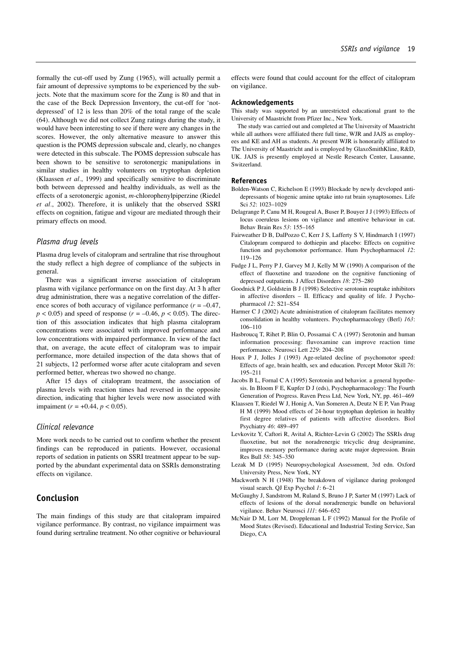formally the cut-off used by Zung (1965), will actually permit a fair amount of depressive symptoms to be experienced by the subjects. Note that the maximum score for the Zung is 80 and that in the case of the Beck Depression Inventory, the cut-off for 'notdepressed' of 12 is less than 20% of the total range of the scale (64). Although we did not collect Zung ratings during the study, it would have been interesting to see if there were any changes in the scores. However, the only alternative measure to answer this question is the POMS depression subscale and, clearly, no changes were detected in this subscale. The POMS depression subscale has been shown to be sensitive to serotonergic manipulations in similar studies in healthy volunteers on tryptophan depletion (Klaassen *et al.*, 1999) and specifically sensitive to discriminate both between depressed and healthy individuals, as well as the effects of a serotonergic agonist, *m*-chlorophenylpiperzine (Riedel *et al.*, 2002). Therefore, it is unlikely that the observed SSRI effects on cognition, fatigue and vigour are mediated through their primary effects on mood.

#### *Plasma drug levels*

Plasma drug levels of citalopram and sertraline that rise throughout the study reflect a high degree of compliance of the subjects in general.

There was a significant inverse association of citalopram plasma with vigilance performance on on the first day. At 3 h after drug administration, there was a negative correlation of the difference scores of both accuracy of vigilance performance  $(r = -0.47)$ ,  $p < 0.05$ ) and speed of response ( $r = -0.46$ ,  $p < 0.05$ ). The direction of this association indicates that high plasma citalopram concentrations were associated with improved performance and low concentrations with impaired performance. In view of the fact that, on average, the acute effect of citalopram was to impair performance, more detailed inspection of the data shows that of 21 subjects, 12 performed worse after acute citalopram and seven performed better, whereas two showed no change.

After 15 days of citalopram treatment, the association of plasma levels with reaction times had reversed in the opposite direction, indicating that higher levels were now associated with impaiment (*r* = +0.44, *p* < 0.05).

#### *Clinical relevance*

More work needs to be carried out to confirm whether the present findings can be reproduced in patients. However, occasional reports of sedation in patients on SSRI treatment appear to be supported by the abundant experimental data on SSRIs demonstrating effects on vigilance.

## **Conclusion**

The main findings of this study are that citalopram impaired vigilance performance. By contrast, no vigilance impairment was found during sertraline treatment. No other cognitive or behavioural effects were found that could account for the effect of citalopram on vigilance.

#### **Acknowledgements**

This study was supported by an unrestricted educational grant to the University of Maastricht from Pfizer Inc., New York.

The study was carried out and completed at The University of Maastricht while all authors were affiliated there full time, WJR and JAJS as employees and KE and AH as students. At present WJR is honorarily affiliated to The University of Maastricht and is employed by GlaxoSmithKline, R&D, UK. JAJS is presently employed at Nestle Research Center, Lausanne, Switzerland.

#### **References**

- Bolden-Watson C, Richelson E (1993) Blockade by newly developed antidepressants of biogenic amine uptake into rat brain synaptosomes. Life Sci *52*: 1023–1029
- Delagrange P, Canu M H, Rougeul A, Buser P, Bouyer J J (1993) Effects of locus coeruleus lesions on vigilance and attentive behaviour in cat. Behav Brain Res *53*: 155–165
- Fairweather D B, DalPozzo C, Kerr J S, Lafferty S V, Hindmarch I (1997) Citalopram compared to dothiepin and placebo: Effects on cognitive function and psychomotor performance. Hum Psychopharmacol *12*: 119–126
- Fudge J L, Perry P J, Garvey M J, Kelly M W (1990) A comparison of the effect of fluoxetine and trazodone on the cognitive functioning of depressed outpatients. J Affect Disorders *18*: 275–280
- Goodnick P J, Goldstein B J (1998) Selective serotonin reuptake inhibitors in affective disorders – II. Efficacy and quality of life. J Psychopharmacol *12*: S21–S54
- Harmer C J (2002) Acute administration of citalopram facilitates memory consolidation in healthy volunteers. Psychopharmacology (Berl) *163*: 106–110
- Hasbroucq T, Rihet P, Blin O, Possamai C A (1997) Serotonin and human information processing: fluvoxamine can improve reaction time performance. Neurosci Lett *229*: 204–208
- Houx P J, Jolles J (1993) Age-related decline of psychomotor speed: Effects of age, brain health, sex and education. Percept Motor Skill *76*: 195–211
- Jacobs B L, Fornal C A (1995) Serotonin and behavior. a general hypothesis. In Bloom F E, Kupfer D J (eds), Psychopharmacology: The Fourth Generation of Progress. Raven Press Ltd, New York, NY, pp. 461–469
- Klaassen T, Riedel W J, Honig A, Van Someren A, Deutz N E P, Van Praag H M (1999) Mood effects of 24-hour tryptophan depletion in healthy first degree relatives of patients with affective disorders. Biol Psychiatry *46*: 489–497
- Levkovitz Y, Caftori R, Avital A, Richter-Levin G (2002) The SSRIs drug fluoxetine, but not the noradrenergic tricyclic drug desipramine, improves memory performance during acute major depression. Brain Res Bull *58*: 345–350
- Lezak M D (1995) Neuropsychological Assessment, 3rd edn. Oxford University Press, New York, NY
- Mackworth N H (1948) The breakdown of vigilance during prolonged visual search. QJ Exp Psychol *1*: 6–21
- McGaughy J, Sandstrom M, Ruland S, Bruno J P, Sarter M (1997) Lack of effects of lesions of the dorsal noradrenergic bundle on behavioral vigilance. Behav Neurosci *111*: 646–652
- McNair D M, Lorr M, Droppleman L F (1992) Manual for the Profile of Mood States (Revised). Educational and Industrial Testing Service, San Diego, CA